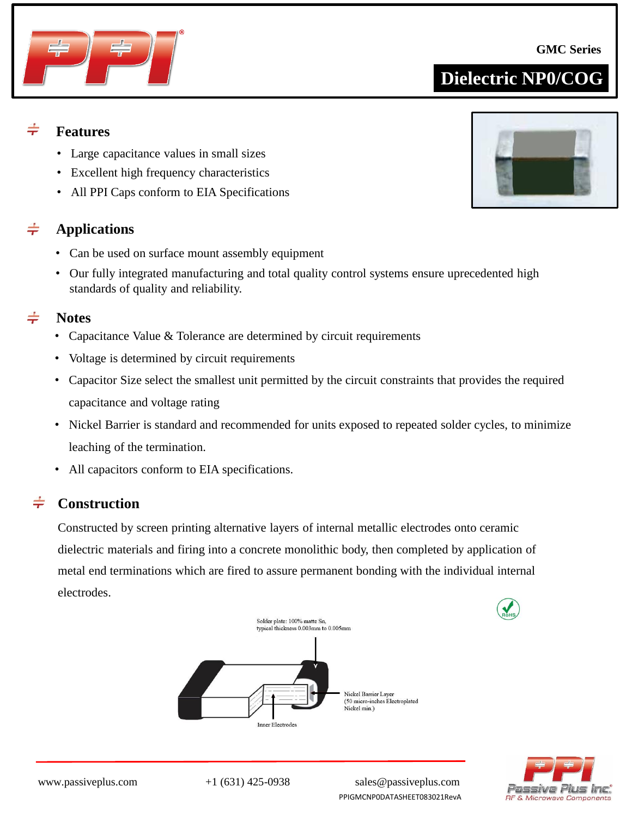www.passiveplus.com +1 (631) 425-0938 sales@passiveplus.com PPIGMCNP0DATASHEET083021RevA

#### $\div$ **Features**

- Large capacitance values in small sizes
- Excellent high frequency characteristics
- All PPI Caps conform to EIA Specifications

#### $\div$ **Applications**

- Can be used on surface mount assembly equipment
- Our fully integrated manufacturing and total quality control systems ensure uprecedented high standards of quality and reliability.

#### $\div$ **Notes**

- Capacitance Value & Tolerance are determined by circuit requirements
- Voltage is determined by circuit requirements
- Capacitor Size select the smallest unit permitted by the circuit constraints that provides the required capacitance and voltage rating
- Nickel Barrier is standard and recommended for units exposed to repeated solder cycles, to minimize leaching of the termination.
- All capacitors conform to EIA specifications.

#### $\div$ **Construction**

Constructed by screen printing alternative layers of internal metallic electrodes onto ceramic dielectric materials and firing into a concrete monolithic body, then completed by application of metal end terminations which are fired to assure permanent bonding with the individual internal electrodes.







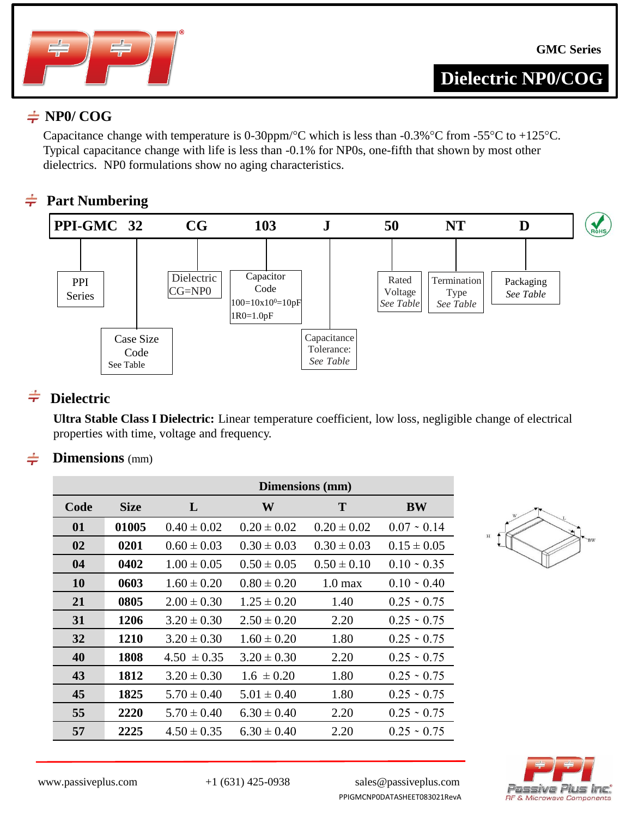

### $\neq$  NP0/ COG

Capacitance change with temperature is 0-30ppm/°C which is less than -0.3%°C from -55°C to +125°C. Typical capacitance change with life is less than -0.1% for NP0s, one-fifth that shown by most other dielectrics. NP0 formulations show no aging characteristics.

#### **Part Numbering**  $\div$



#### $\div$ **Dielectric**

**Ultra Stable Class I Dielectric:** Linear temperature coefficient, low loss, negligible change of electrical properties with time, voltage and frequency.

#### **Dimensions** (mm)

|           |             | <b>Dimensions</b> (mm) |                 |                    |                   |  |  |  |  |  |  |
|-----------|-------------|------------------------|-----------------|--------------------|-------------------|--|--|--|--|--|--|
| Code      | <b>Size</b> | L                      | W               | T                  | <b>BW</b>         |  |  |  |  |  |  |
| 01        | 01005       | $0.40 \pm 0.02$        | $0.20 \pm 0.02$ | $0.20 \pm 0.02$    | $0.07 - 0.14$     |  |  |  |  |  |  |
| 02        | 0201        | $0.60 \pm 0.03$        | $0.30 \pm 0.03$ | $0.30 \pm 0.03$    | $0.15 \pm 0.05$   |  |  |  |  |  |  |
| 04        | 0402        | $1.00 \pm 0.05$        | $0.50 \pm 0.05$ | $0.50 \pm 0.10$    | $0.10 \cdot 0.35$ |  |  |  |  |  |  |
| <b>10</b> | 0603        | $1.60 \pm 0.20$        | $0.80 \pm 0.20$ | 1.0 <sub>max</sub> | $0.10 \cdot 0.40$ |  |  |  |  |  |  |
| 21        | 0805        | $2.00 \pm 0.30$        | $1.25 \pm 0.20$ | 1.40               | $0.25 \cdot 0.75$ |  |  |  |  |  |  |
| 31        | 1206        | $3.20 \pm 0.30$        | $2.50 \pm 0.20$ | 2.20               | $0.25 \cdot 0.75$ |  |  |  |  |  |  |
| 32        | 1210        | $3.20 \pm 0.30$        | $1.60 \pm 0.20$ | 1.80               | $0.25 \cdot 0.75$ |  |  |  |  |  |  |
| 40        | 1808        | $4.50 \pm 0.35$        | $3.20 \pm 0.30$ | 2.20               | $0.25 \div 0.75$  |  |  |  |  |  |  |
| 43        | 1812        | $3.20 \pm 0.30$        | $1.6 \pm 0.20$  | 1.80               | $0.25 \div 0.75$  |  |  |  |  |  |  |
| 45        | 1825        | $5.70 \pm 0.40$        | $5.01 \pm 0.40$ | 1.80               | $0.25 \div 0.75$  |  |  |  |  |  |  |
| 55        | 2220        | $5.70 \pm 0.40$        | $6.30 \pm 0.40$ | 2.20               | $0.25 \div 0.75$  |  |  |  |  |  |  |
| 57        | 2225        | $4.50 \pm 0.35$        | $6.30 \pm 0.40$ | 2.20               | $0.25 \cdot 0.75$ |  |  |  |  |  |  |



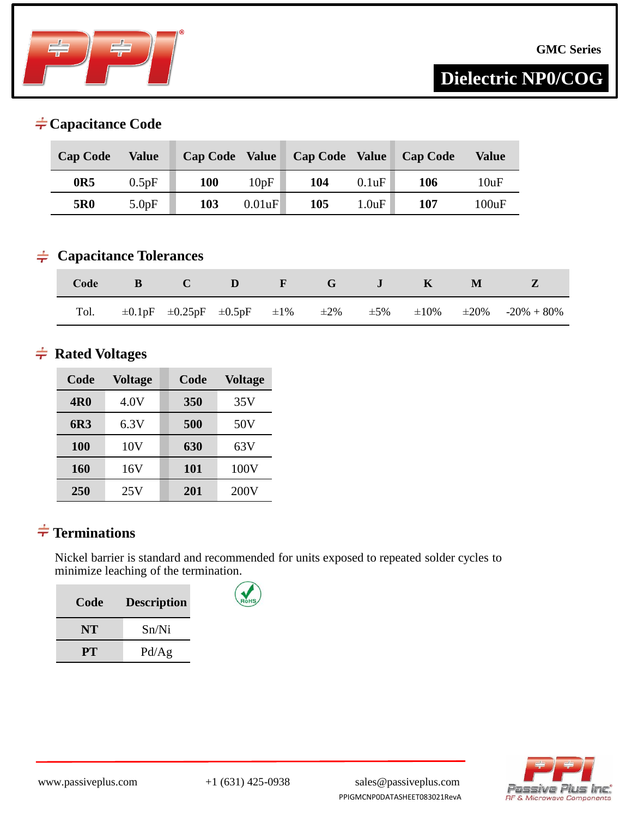

### **Capacitance Code**

| <b>Cap Code</b> | Value | <b>Cap Code Value</b> |        | <b>Cap Code Value</b> |       | <b>Cap Code</b> | Value |
|-----------------|-------|-----------------------|--------|-----------------------|-------|-----------------|-------|
| 0R5             | 0.5pF | 100                   | 10pF   | 104                   | 0.1uF | 106             | 10uF  |
| 5R0             | 5.0pF | 103                   | 0.01uF | 105                   | 1.0uF | 107             | 100uF |

#### **Capacitance Tolerances**

| Code | $\mathbf{B}$ |  | CDF GJ K |  | M |                                                                                                         |
|------|--------------|--|----------|--|---|---------------------------------------------------------------------------------------------------------|
|      |              |  |          |  |   | Tol. $\pm 0.1pF$ $\pm 0.25pF$ $\pm 0.5pF$ $\pm 1\%$ $\pm 2\%$ $\pm 5\%$ $\pm 10\%$ $\pm 20\%$ -20% -80% |

#### $\neq$  **Rated Voltages**

| Code       | <b>Voltage</b> | Code | <b>Voltage</b> |
|------------|----------------|------|----------------|
| <b>4R0</b> | 4.0V           | 350  | 35V            |
| 6R3        | 6.3V           | 500  | 50V            |
| 100        | 10V            | 630  | 63V            |
| 160        | 16V            | 101  | 100V           |
| 250        | 25V            | 201  | 200V           |

### **Terminations**

Nickel barrier is standard and recommended for units exposed to repeated solder cycles to minimize leaching of the termination.

| Code      | <b>Description</b> |
|-----------|--------------------|
| <b>NT</b> | Sn/Ni              |
| PT.       | Pd/Ag              |

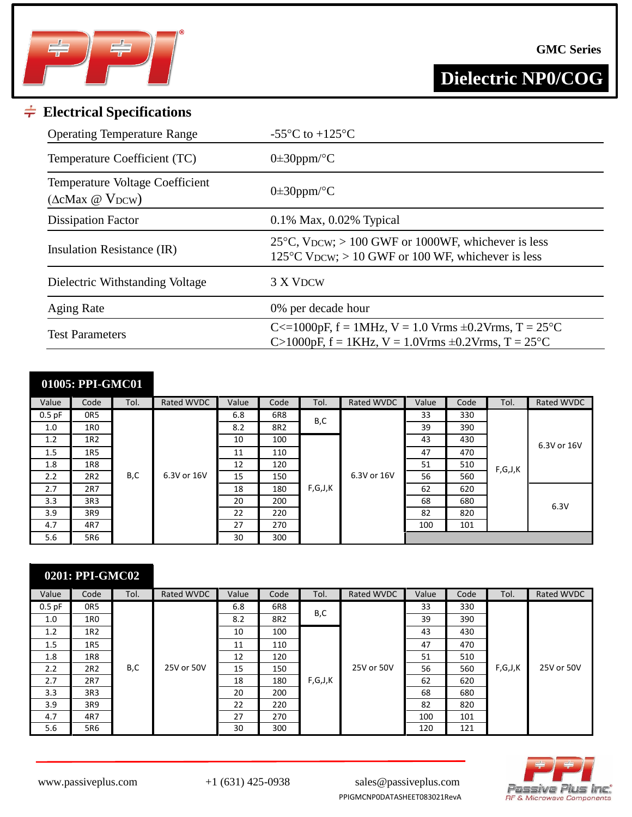

#### **GMC Series**

**Dielectric NP0/COG**

### **Electrical Specifications**

| <b>Operating Temperature Range</b>                              | -55 $\mathrm{^{\circ}C}$ to +125 $\mathrm{^{\circ}C}$                                                                       |
|-----------------------------------------------------------------|-----------------------------------------------------------------------------------------------------------------------------|
| Temperature Coefficient (TC)                                    | $0\pm 30$ ppm/°C                                                                                                            |
| Temperature Voltage Coefficient<br>$(\Delta c$ Max @ $V_{DCW})$ | $0\pm 30$ ppm/°C                                                                                                            |
| <b>Dissipation Factor</b>                                       | $0.1\%$ Max, $0.02\%$ Typical                                                                                               |
| Insulation Resistance (IR)                                      | 25 $\degree$ C, VDCW; > 100 GWF or 1000WF, whichever is less<br>125 $\degree$ C VDCW; > 10 GWF or 100 WF, whichever is less |
| Dielectric Withstanding Voltage                                 | 3 X VDCW                                                                                                                    |
| <b>Aging Rate</b>                                               | 0% per decade hour                                                                                                          |
| <b>Test Parameters</b>                                          | C $\lt$ =1000pF, f = 1MHz, V = 1.0 Vrms $\pm$ 0.2Vrms, T = 25 °C<br>C>1000pF, f = 1KHz, V = 1.0Vrms $\pm$ 0.2Vrms, T = 25°C |

## **01005: PPI-GMC01**

| Value    | Code | Tol. | Rated WVDC  | Value | Code | Tol. | Rated WVDC             | Value | Code | Tol.    | Rated WVDC  |
|----------|------|------|-------------|-------|------|------|------------------------|-------|------|---------|-------------|
| $0.5$ pF | OR5  |      |             | 6.8   | 6R8  | B,C  |                        | 33    | 330  |         |             |
| 1.0      | 1R0  |      |             | 8.2   | 8R2  |      |                        | 39    | 390  |         |             |
| 1.2      | 1R2  |      |             | 10    | 100  |      | 6.3V or 16V<br>F,G,J,K | 43    | 430  |         | 6.3V or 16V |
| 1.5      | 1R5  |      |             | 11    | 110  |      |                        | 47    | 470  | F,G,J,K |             |
| 1.8      | 1R8  |      |             | 12    | 120  |      |                        | 51    | 510  |         |             |
| 2.2      | 2R2  | B,C  | 6.3V or 16V | 15    | 150  |      |                        | 56    | 560  |         |             |
| 2.7      | 2R7  |      |             | 18    | 180  |      |                        | 62    | 620  |         | 6.3V        |
| 3.3      | 3R3  |      |             | 20    | 200  |      |                        | 68    | 680  |         |             |
| 3.9      | 3R9  |      |             | 22    | 220  |      |                        | 82    | 820  |         |             |
| 4.7      | 4R7  |      |             | 27    | 270  |      |                        | 100   | 101  |         |             |
| 5.6      | 5R6  |      |             | 30    | 300  |      |                        |       |      |         |             |

| 0201: PPI-GMC02 |                 |      |            |       |      |         |            |       |      |         |            |
|-----------------|-----------------|------|------------|-------|------|---------|------------|-------|------|---------|------------|
| Value           | Code            | Tol. | Rated WVDC | Value | Code | Tol.    | Rated WVDC | Value | Code | Tol.    | Rated WVDC |
| $0.5$ pF        | OR <sub>5</sub> |      |            | 6.8   | 6R8  | B,C     |            | 33    | 330  |         |            |
| 1.0             | 1R <sub>0</sub> |      |            | 8.2   | 8R2  |         |            | 39    | 390  |         |            |
| 1.2             | 1R2             |      |            | 10    | 100  |         |            | 43    | 430  |         |            |
| 1.5             | 1R5             |      |            | 11    | 110  |         |            | 47    | 470  |         |            |
| 1.8             | 1R8             |      |            | 12    | 120  |         |            | 51    | 510  |         |            |
| 2.2             | 2R2             | B,C  | 25V or 50V | 15    | 150  |         | 25V or 50V | 56    | 560  | F,G,J,K | 25V or 50V |
| 2.7             | 2R7             |      |            | 18    | 180  | F,G,J,K |            | 62    | 620  |         |            |
| 3.3             | 3R3             |      |            | 20    | 200  |         |            | 68    | 680  |         |            |
| 3.9             | 3R9             |      |            | 22    | 220  |         |            | 82    | 820  |         |            |
| 4.7             | 4R7             |      |            | 27    | 270  |         |            | 100   | 101  |         |            |
| 5.6             | 5R6             |      |            | 30    | 300  |         |            | 120   | 121  |         |            |



PPIGMCNP0DATASHEET083021RevA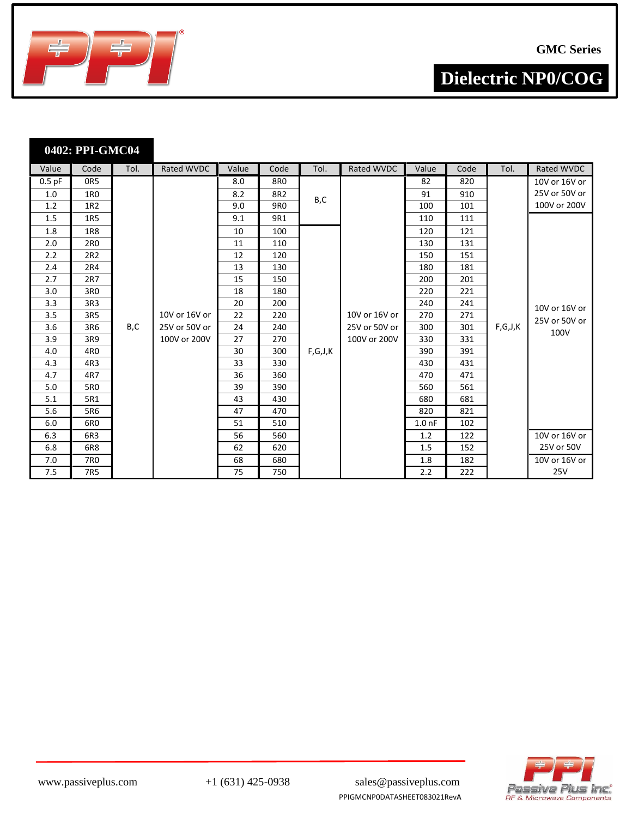

**GMC Series**

┑

**Dielectric NP0/COG**

| 0402: PPI-GMC04 |      |      |       |
|-----------------|------|------|-------|
| Value           | Code | Tol. | Rated |

| Value    | Code            | Tol. | Rated WVDC    | Value | Code | Tol.    | Rated WVDC    | Value             | Code | Tol.    | Rated WVDC    |
|----------|-----------------|------|---------------|-------|------|---------|---------------|-------------------|------|---------|---------------|
| $0.5$ pF | OR <sub>5</sub> |      |               | 8.0   | 8R0  |         |               | 82                | 820  |         | 10V or 16V or |
| 1.0      | 1R0             |      |               | 8.2   | 8R2  | B,C     |               | 91                | 910  |         | 25V or 50V or |
| 1.2      | 1R2             |      |               | 9.0   | 9R0  |         |               | 100               | 101  |         | 100V or 200V  |
| 1.5      | 1R5             |      |               | 9.1   | 9R1  |         |               | 110               | 111  |         |               |
| 1.8      | 1R8             |      |               | 10    | 100  |         |               | 120               | 121  |         |               |
| 2.0      | 2R <sub>0</sub> |      |               | 11    | 110  |         |               | 130               | 131  |         |               |
| 2.2      | 2R2             |      |               | 12    | 120  |         |               | 150               | 151  |         |               |
| 2.4      | 2R4             |      |               | 13    | 130  |         |               | 180               | 181  |         |               |
| 2.7      | 2R7             |      |               | 15    | 150  |         |               | 200               | 201  |         |               |
| 3.0      | 3R <sub>0</sub> |      |               | 18    | 180  |         |               | 220               | 221  |         |               |
| 3.3      | 3R3             |      |               | 20    | 200  |         |               | 240               | 241  |         | 10V or 16V or |
| 3.5      | 3R5             |      | 10V or 16V or | 22    | 220  |         | 10V or 16V or | 270               | 271  |         | 25V or 50V or |
| 3.6      | 3R6             | B,C  | 25V or 50V or | 24    | 240  |         | 25V or 50V or | 300               | 301  | F,G,J,K | 100V          |
| 3.9      | 3R9             |      | 100V or 200V  | 27    | 270  |         | 100V or 200V  | 330               | 331  |         |               |
| 4.0      | 4R <sub>0</sub> |      |               | 30    | 300  | F,G,J,K |               | 390               | 391  |         |               |
| 4.3      | 4R3             |      |               | 33    | 330  |         |               | 430               | 431  |         |               |
| 4.7      | 4R7             |      |               | 36    | 360  |         |               | 470               | 471  |         |               |
| 5.0      | 5R0             |      |               | 39    | 390  |         |               | 560               | 561  |         |               |
| 5.1      | 5R1             |      |               | 43    | 430  |         |               | 680               | 681  |         |               |
| 5.6      | 5R6             |      |               | 47    | 470  |         |               | 820               | 821  |         |               |
| 6.0      | 6RO             |      |               | 51    | 510  |         |               | 1.0 <sub>nf</sub> | 102  |         |               |
| 6.3      | 6R3             |      |               | 56    | 560  |         |               | 1.2               | 122  |         | 10V or 16V or |
| 6.8      | 6R8             |      |               | 62    | 620  |         |               | 1.5               | 152  |         | 25V or 50V    |
| 7.0      | 7R0             |      |               | 68    | 680  |         |               | 1.8               | 182  |         | 10V or 16V or |
| 7.5      | 7R5             |      |               | 75    | 750  |         |               | 2.2               | 222  |         | 25V           |



PPIGMCNP0DATASHEET083021RevA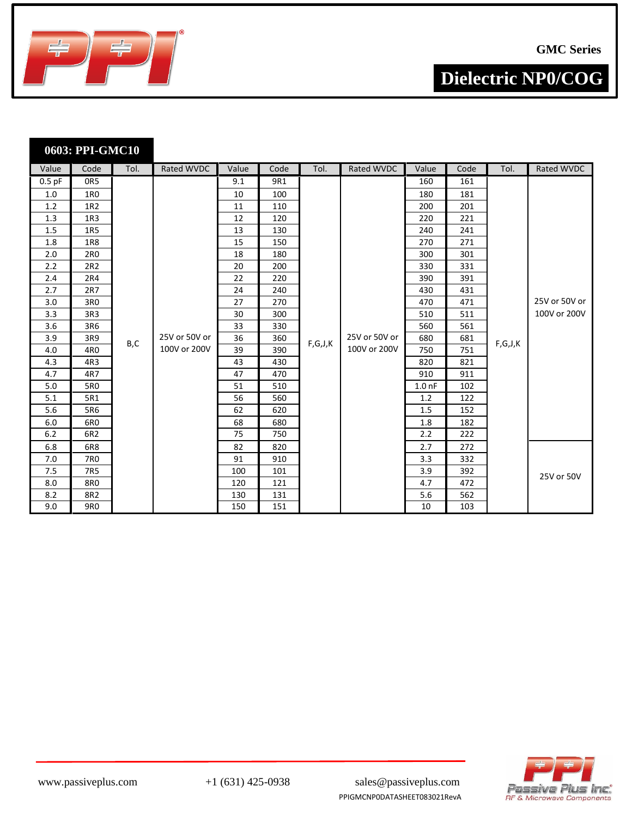

| 0603: PPI-GMC10 |  |
|-----------------|--|
|                 |  |

| Value    | Code            | Tol. | Rated WVDC    | Value | Code | Tol.    | Rated WVDC                    | Value             | Code | Tol.       | Rated WVDC    |
|----------|-----------------|------|---------------|-------|------|---------|-------------------------------|-------------------|------|------------|---------------|
| $0.5$ pF | OR5             |      |               | 9.1   | 9R1  |         |                               | 160               | 161  |            |               |
| 1.0      | 1R <sub>0</sub> |      |               | 10    | 100  |         |                               | 180               | 181  |            |               |
| 1.2      | 1R2             |      |               | 11    | 110  |         |                               | 200               | 201  |            |               |
| 1.3      | 1R <sub>3</sub> |      |               | 12    | 120  |         |                               | 220               | 221  |            |               |
| 1.5      | 1R5             |      |               | 13    | 130  |         |                               | 240               | 241  |            |               |
| 1.8      | 1R8             |      |               | 15    | 150  |         |                               | 270               | 271  |            |               |
| 2.0      | 2R0             |      |               | 18    | 180  |         |                               | 300               | 301  |            |               |
| 2.2      | 2R2             |      |               | 20    | 200  |         |                               | 330               | 331  |            |               |
| 2.4      | 2R4             |      |               | 22    | 220  |         |                               | 390               | 391  |            |               |
| 2.7      | 2R7             |      |               | 24    | 240  |         |                               | 430               | 431  |            |               |
| 3.0      | 3R <sub>0</sub> |      |               | 27    | 270  |         |                               | 470               | 471  |            | 25V or 50V or |
| 3.3      | 3R3             |      |               | 30    | 300  | F,G,J,K | 25V or 50V or<br>100V or 200V | 510               | 511  | F,G,J,K    | 100V or 200V  |
| 3.6      | 3R6             |      |               | 33    | 330  |         |                               | 560               | 561  |            |               |
| 3.9      | 3R9             | B,C  | 25V or 50V or | 36    | 360  |         |                               | 680               | 681  |            |               |
| 4.0      | 4R <sub>0</sub> |      | 100V or 200V  | 39    | 390  |         |                               | 750               | 751  |            |               |
| 4.3      | 4R3             |      |               | 43    | 430  |         |                               | 820               | 821  |            |               |
| 4.7      | 4R7             |      |               | 47    | 470  |         |                               | 910               | 911  |            |               |
| 5.0      | 5R0             |      |               | 51    | 510  |         |                               | 1.0 <sub>nf</sub> | 102  |            |               |
| 5.1      | 5R1             |      |               | 56    | 560  |         |                               | 1.2               | 122  |            |               |
| 5.6      | 5R6             |      |               | 62    | 620  |         |                               | 1.5               | 152  |            |               |
| 6.0      | 6R <sub>0</sub> |      |               | 68    | 680  |         |                               | 1.8               | 182  |            |               |
| 6.2      | 6R2             |      |               | 75    | 750  |         |                               | 2.2               | 222  |            |               |
| 6.8      | 6R8             |      |               | 82    | 820  |         |                               | 2.7               | 272  |            |               |
| 7.0      | 7R0             |      | 91            | 910   |      |         | 3.3                           | 332               |      |            |               |
| 7.5      | 7R5             |      | 100           | 101   |      |         | 3.9                           | 392               |      | 25V or 50V |               |
| 8.0      | 8R0             |      | 120           | 121   |      |         | 4.7                           | 472               |      |            |               |
| 8.2      | 8R2             |      |               | 130   | 131  |         |                               | 5.6               | 562  |            |               |
| 9.0      | 9R0             |      |               | 150   | 151  |         |                               | 10                | 103  |            |               |



PPIGMCNP0DATASHEET083021RevA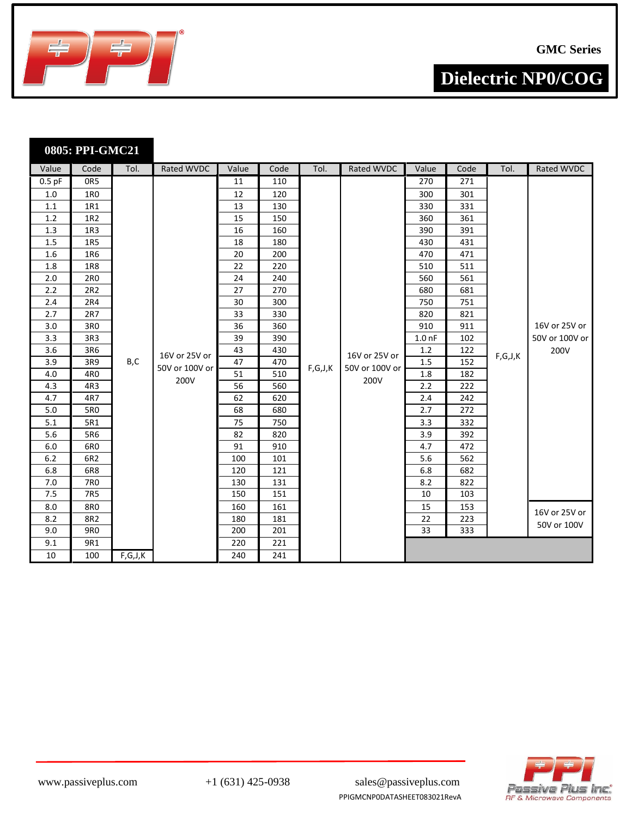

|          | 0805: PPI-GMC21 |         |                |       |      |         |                   |                   |      |                                               |                |
|----------|-----------------|---------|----------------|-------|------|---------|-------------------|-------------------|------|-----------------------------------------------|----------------|
| Value    | Code            | Tol.    | Rated WVDC     | Value | Code | Tol.    | <b>Rated WVDC</b> | Value             | Code | Tol.                                          | Rated WVDC     |
| $0.5$ pF | OR5             |         |                | 11    | 110  |         |                   | 270               | 271  |                                               |                |
| 1.0      | 1R <sub>0</sub> |         |                | 12    | 120  |         |                   | 300               | 301  |                                               |                |
| 1.1      | 1R1             |         |                | 13    | 130  |         |                   | 330               | 331  |                                               |                |
| 1.2      | 1R2             |         |                | 15    | 150  |         |                   | 360               | 361  |                                               |                |
| 1.3      | 1R3             |         |                | 16    | 160  |         |                   | 390               | 391  |                                               |                |
| 1.5      | <b>1R5</b>      |         |                | 18    | 180  |         |                   | 430               | 431  |                                               |                |
| 1.6      | 1R6             |         |                | 20    | 200  |         |                   | 470               | 471  |                                               |                |
| 1.8      | <b>1R8</b>      |         |                | 22    | 220  |         |                   | 510               | 511  |                                               |                |
| 2.0      | 2R0             |         |                | 24    | 240  |         |                   | 560               | 561  |                                               |                |
| 2.2      | 2R2             |         |                | 27    | 270  |         |                   | 680               | 681  |                                               |                |
| 2.4      | 2R4             |         |                | 30    | 300  |         |                   | 750               | 751  |                                               |                |
| 2.7      | 2R7             |         |                | 33    | 330  |         |                   | 820               | 821  |                                               |                |
| 3.0      | 3R0             |         |                | 36    | 360  |         |                   | 910               | 911  |                                               | 16V or 25V or  |
| 3.3      | 3R3             |         |                | 39    | 390  |         |                   | 1.0 <sub>nf</sub> | 102  |                                               | 50V or 100V or |
| 3.6      | 3R6             |         | 16V or 25V or  | 43    | 430  |         | 16V or 25V or     | 1.2               | 122  | $\mathsf{F},\mathsf{G},\mathsf{J},\mathsf{K}$ | 200V           |
| 3.9      | 3R9             | B,C     | 50V or 100V or | 47    | 470  | F,G,J,K | 50V or 100V or    | 1.5               | 152  |                                               |                |
| 4.0      | 4R0             |         | 200V           | 51    | 510  |         | 200V              | 1.8               | 182  |                                               |                |
| 4.3      | 4R3             |         |                | 56    | 560  |         |                   | 2.2               | 222  |                                               |                |
| 4.7      | 4R7             |         |                | 62    | 620  |         |                   | 2.4               | 242  |                                               |                |
| 5.0      | 5R0             |         |                | 68    | 680  |         |                   | 2.7               | 272  |                                               |                |
| 5.1      | 5R1             |         |                | 75    | 750  |         |                   | 3.3               | 332  |                                               |                |
| 5.6      | 5R6             |         |                | 82    | 820  |         |                   | 3.9               | 392  |                                               |                |
| 6.0      | 6R0             |         |                | 91    | 910  |         |                   | 4.7               | 472  |                                               |                |
| $6.2$    | 6R2             |         |                | 100   | 101  |         |                   | 5.6               | 562  |                                               |                |
| 6.8      | 6R8             |         |                | 120   | 121  |         |                   | 6.8               | 682  |                                               |                |
| 7.0      | 7R0             |         |                | 130   | 131  |         |                   | 8.2               | 822  |                                               |                |
| 7.5      | 7R5             |         |                | 150   | 151  |         |                   | 10                | 103  |                                               |                |
| 8.0      | <b>8R0</b>      |         |                | 160   | 161  |         |                   | 15                | 153  |                                               | 16V or 25V or  |
| 8.2      | 8R2             |         |                | 180   | 181  |         |                   | 22                | 223  |                                               | 50V or 100V    |
| 9.0      | <b>9R0</b>      |         |                | 200   | 201  |         |                   | 33                | 333  |                                               |                |
| 9.1      | 9R1             |         |                | 220   | 221  |         |                   |                   |      |                                               |                |
| 10       | 100             | F,G,J,K |                | 240   | 241  |         |                   |                   |      |                                               |                |



www.passiveplus.com +1 (631) 425-0938 sales@passiveplus.com PPIGMCNP0DATASHEET083021RevA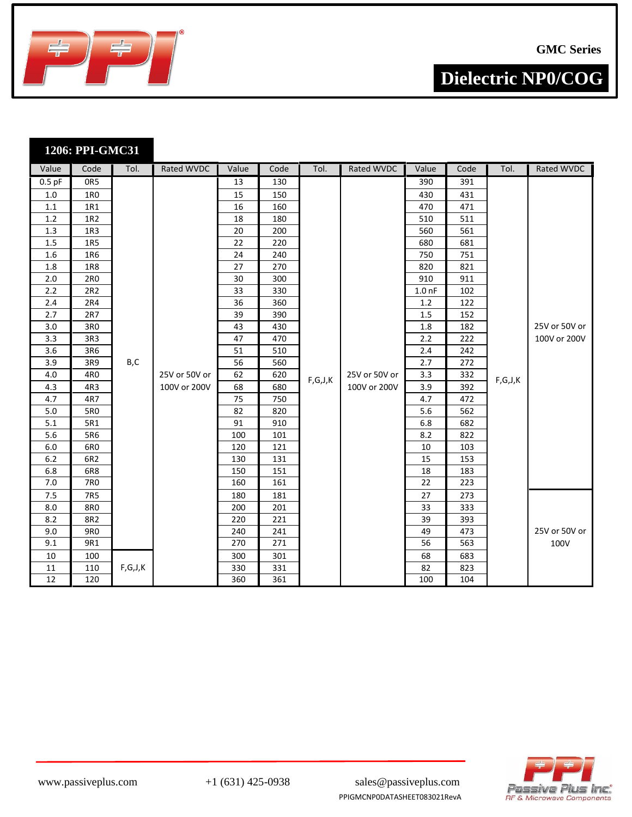

|            | 1206: PPI-GMC31   |         |               |                 |            |         |               |                   |            |         |               |
|------------|-------------------|---------|---------------|-----------------|------------|---------|---------------|-------------------|------------|---------|---------------|
| Value      | Code              | Tol.    | Rated WVDC    | Value           | Code       | Tol.    | Rated WVDC    | Value             | Code       | Tol.    | Rated WVDC    |
| $0.5$ pF   | OR5               |         |               | 13              | 130        |         |               | 390               | 391        |         |               |
| $1.0\,$    | 1RO               |         |               | 15              | 150        |         |               | 430               | 431        |         |               |
| $1.1\,$    | 1R1               |         |               | $\overline{16}$ | 160        |         |               | 470               | 471        |         |               |
| 1.2        | 1R2               |         |               | 18              | 180        |         |               | 510               | 511        |         |               |
| 1.3        | 1R3               |         |               | 20              | 200        |         |               | 560               | 561        |         |               |
| 1.5        | 1R5               |         |               | 22              | 220        |         |               | 680               | 681        |         |               |
| 1.6        | 1R6               |         |               | 24              | 240        |         |               | 750               | 751        |         |               |
| 1.8        | <b>1R8</b>        |         |               | 27              | 270        |         |               | 820               | 821        |         |               |
| 2.0        | 2R0               |         |               | 30              | 300        |         |               | 910               | 911        |         |               |
| 2.2        | 2R2               |         |               | 33              | 330        |         |               | 1.0 <sub>nP</sub> | 102        |         |               |
| 2.4        | 2R4               |         |               | 36              | 360        |         |               | 1.2               | 122        |         |               |
| 2.7        | 2R7               |         |               | 39              | 390        |         |               | 1.5               | 152        |         |               |
| 3.0        | 3R0               |         |               | 43              | 430        |         |               | 1.8               | 182        |         | 25V or 50V or |
| 3.3        | 3R3               |         |               | 47              | 470        |         |               | 2.2               | 222        |         | 100V or 200V  |
| 3.6        | 3R6               |         |               | 51              | 510        |         |               | 2.4               | 242        |         |               |
| 3.9        | 3R9               | B,C     |               | 56              | 560        |         |               | 2.7               | 272        |         |               |
| 4.0        | 4R0               |         | 25V or 50V or | 62              | 620        | F,G,J,K | 25V or 50V or | 3.3               | 332        | F,G,J,K |               |
| 4.3        | 4R3               |         | 100V or 200V  | 68              | 680        |         | 100V or 200V  | 3.9               | 392        |         |               |
| 4.7        | 4R7               |         |               | 75              | 750        |         |               | 4.7               | 472        |         |               |
| 5.0        | 5R0               |         |               | 82              | 820        |         |               | 5.6               | 562        |         |               |
| 5.1        | 5R1               |         |               | 91              | 910        |         |               | 6.8               | 682        |         |               |
| 5.6        | 5R6               |         |               | 100             | 101        |         |               | 8.2               | 822        |         |               |
| 6.0        | 6RO               |         |               | 120             | 121        |         |               | 10                | 103        |         |               |
| 6.2        | 6R2               |         |               | 130             | 131        |         |               | 15                | 153        |         |               |
| 6.8        | 6R8               |         |               | 150             | 151        |         |               | 18                | 183        |         |               |
| 7.0        | 7R0               |         |               | 160             | 161        |         |               | 22                | 223        |         |               |
| 7.5        | 7R5               |         |               | 180             | 181        |         |               | 27                | 273        |         |               |
| 8.0        | <b>8R0</b>        |         |               | 200             | 201        |         |               | 33                | 333        |         |               |
| 8.2        | 8R2               |         |               | 220             | 221        |         |               | 39                | 393        |         | 25V or 50V or |
| 9.0<br>9.1 | <b>9R0</b><br>9R1 |         |               | 240<br>270      | 241<br>271 |         |               | 49<br>56          | 473<br>563 |         | 100V          |
| 10         | 100               |         |               | 300             | 301        |         |               | 68                | 683        |         |               |
| 11         | 110               | F,G,J,K |               | 330             | 331        |         |               | 82                | 823        |         |               |
| 12         | 120               |         |               | 360             | 361        |         |               | 100               | 104        |         |               |



PPIGMCNP0DATASHEET083021RevA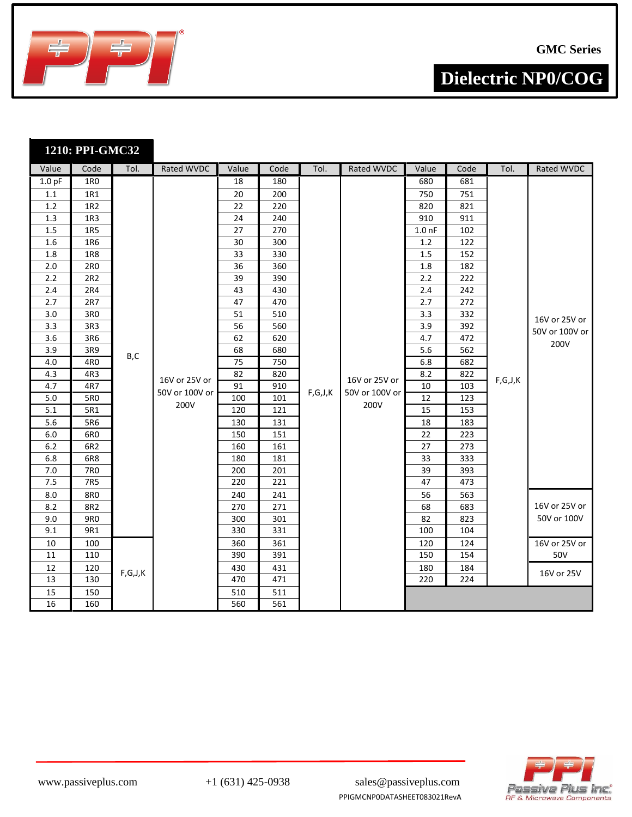

|                   | 1210: PPI-GMC32 |         |                |       |      |         |                |                   |      |         |                |
|-------------------|-----------------|---------|----------------|-------|------|---------|----------------|-------------------|------|---------|----------------|
| Value             | Code            | Tol.    | Rated WVDC     | Value | Code | Tol.    | Rated WVDC     | Value             | Code | Tol.    | Rated WVDC     |
| 1.0 <sub>pF</sub> | 1R <sub>0</sub> |         |                | 18    | 180  |         |                | 680               | 681  |         |                |
| $1.1\,$           | 1R1             |         |                | 20    | 200  |         |                | 750               | 751  |         |                |
| 1.2               | 1R2             |         |                | 22    | 220  |         |                | 820               | 821  |         |                |
| 1.3               | 1R <sub>3</sub> |         |                | 24    | 240  |         |                | 910               | 911  |         |                |
| 1.5               | <b>1R5</b>      |         |                | 27    | 270  |         |                | 1.0 <sub>nP</sub> | 102  |         |                |
| 1.6               | 1R6             |         |                | 30    | 300  |         |                | 1.2               | 122  |         |                |
| 1.8               | <b>1R8</b>      |         |                | 33    | 330  |         |                | 1.5               | 152  |         |                |
| 2.0               | 2R0             |         |                | 36    | 360  |         |                | 1.8               | 182  |         |                |
| 2.2               | 2R2             |         |                | 39    | 390  |         |                | $2.2\,$           | 222  |         |                |
| 2.4               | 2R4             |         |                | 43    | 430  |         |                | 2.4               | 242  |         |                |
| 2.7               | 2R7             |         |                | 47    | 470  |         |                | 2.7               | 272  |         |                |
| 3.0               | 3R0             |         |                | 51    | 510  |         |                | 3.3               | 332  |         | 16V or 25V or  |
| 3.3               | 3R3             |         |                | 56    | 560  |         |                | 3.9               | 392  |         | 50V or 100V or |
| 3.6               | 3R6             |         |                | 62    | 620  |         |                | 4.7               | 472  |         | 200V           |
| 3.9               | 3R9             | B,C     |                | 68    | 680  |         |                | 5.6               | 562  |         |                |
| 4.0               | 4R0             |         |                | 75    | 750  |         |                | 6.8               | 682  |         |                |
| 4.3               | 4R3             |         | 16V or 25V or  | 82    | 820  |         | 16V or 25V or  | 8.2               | 822  | F,G,J,K |                |
| 4.7               | 4R7             |         | 50V or 100V or | 91    | 910  | F,G,J,K | 50V or 100V or | 10                | 103  |         |                |
| 5.0               | 5R0             |         | 200V           | 100   | 101  |         | 200V           | 12                | 123  |         |                |
| 5.1               | 5R1             |         |                | 120   | 121  |         |                | 15                | 153  |         |                |
| 5.6               | 5R6             |         |                | 130   | 131  |         |                | 18                | 183  |         |                |
| 6.0               | 6R <sub>0</sub> |         |                | 150   | 151  |         |                | 22                | 223  |         |                |
| 6.2               | 6R2             |         |                | 160   | 161  |         |                | 27                | 273  |         |                |
| 6.8               | 6R8             |         |                | 180   | 181  |         |                | 33                | 333  |         |                |
| 7.0               | 7R0             |         |                | 200   | 201  |         |                | 39                | 393  |         |                |
| 7.5               | 7R5             |         |                | 220   | 221  |         |                | 47                | 473  |         |                |
| 8.0               | 8R0             |         |                | 240   | 241  |         |                | 56                | 563  |         |                |
| 8.2               | 8R2             |         |                | 270   | 271  |         |                | 68                | 683  |         | 16V or 25V or  |
| 9.0               | <b>9R0</b>      |         |                | 300   | 301  |         |                | 82                | 823  |         | 50V or 100V    |
| 9.1               | 9R1             |         |                | 330   | 331  |         |                | 100               | 104  |         |                |
| 10                | 100             |         |                | 360   | 361  |         |                | 120               | 124  |         | 16V or 25V or  |
| 11                | 110             |         |                | 390   | 391  |         |                | 150               | 154  |         | 50V            |
| 12                | 120             | F,G,J,K |                | 430   | 431  |         |                | 180               | 184  |         | 16V or 25V     |
| 13                | 130             |         |                | 470   | 471  |         |                | 220               | 224  |         |                |
| 15                | 150             |         |                | 510   | 511  |         |                |                   |      |         |                |
| 16                | 160             |         |                | 560   | 561  |         |                |                   |      |         |                |



www.passiveplus.com +1 (631) 425-0938 sales@passiveplus.com PPIGMCNP0DATASHEET083021RevA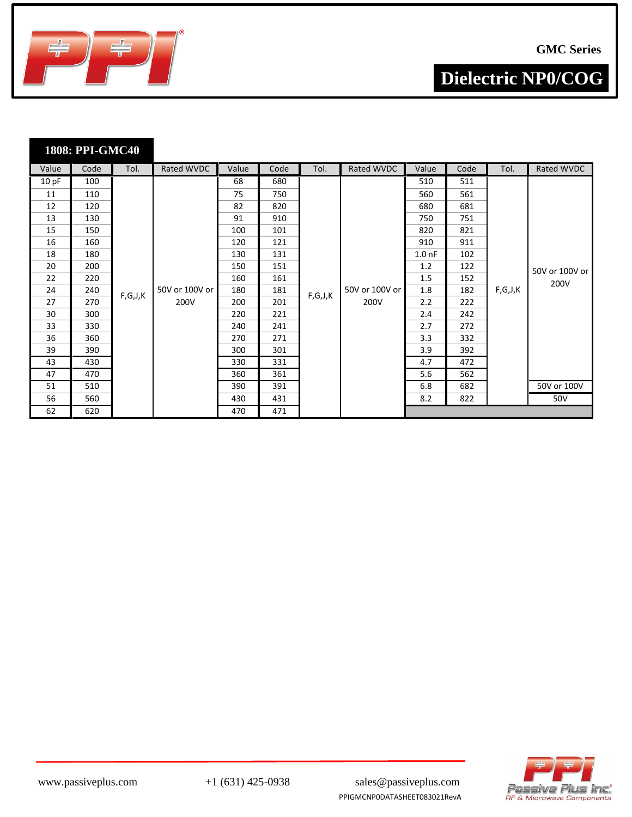

**1808: PPI-GMC40**

**Dielectric NP0/COG**

| Value | Code | Tol.    | Rated WVDC     | Value | Code | Tol.    | Rated WVDC     | Value             | Code | Tol.    | Rated WVDC     |
|-------|------|---------|----------------|-------|------|---------|----------------|-------------------|------|---------|----------------|
| 10 pF | 100  |         |                | 68    | 680  |         |                | 510               | 511  |         |                |
| 11    | 110  |         |                | 75    | 750  |         |                | 560               | 561  |         |                |
| 12    | 120  |         |                | 82    | 820  |         |                | 680               | 681  |         |                |
| 13    | 130  |         |                | 91    | 910  |         |                | 750               | 751  |         |                |
| 15    | 150  |         |                | 100   | 101  |         |                | 820               | 821  |         |                |
| 16    | 160  |         |                | 120   | 121  |         |                | 910               | 911  |         |                |
| 18    | 180  |         |                | 130   | 131  |         |                | 1.0 <sub>nf</sub> | 102  |         |                |
| 20    | 200  |         |                | 150   | 151  |         |                | 1.2               | 122  |         | 50V or 100V or |
| 22    | 220  |         |                | 160   | 161  |         |                | 1.5               | 152  |         | 200V           |
| 24    | 240  | F,G,J,K | 50V or 100V or | 180   | 181  | F,G,J,K | 50V or 100V or | 1.8               | 182  | F,G,J,K |                |
| 27    | 270  |         | 200V           | 200   | 201  |         | 200V           | 2.2               | 222  |         |                |
| 30    | 300  |         |                | 220   | 221  |         |                | 2.4               | 242  |         |                |
| 33    | 330  |         |                | 240   | 241  |         |                | 2.7               | 272  |         |                |
| 36    | 360  |         |                | 270   | 271  |         |                | 3.3               | 332  |         |                |
| 39    | 390  |         |                | 300   | 301  |         |                | 3.9               | 392  |         |                |
| 43    | 430  |         |                | 330   | 331  |         |                | 4.7               | 472  |         |                |
| 47    | 470  |         |                | 360   | 361  |         |                | 5.6               | 562  |         |                |
| 51    | 510  |         |                | 390   | 391  |         |                | 6.8               | 682  |         | 50V or 100V    |
| 56    | 560  |         |                | 430   | 431  |         |                | 8.2               | 822  |         | 50V            |
| 62    | 620  |         |                | 470   | 471  |         |                |                   |      |         |                |





PPIGMCNP0DATASHEET083021RevA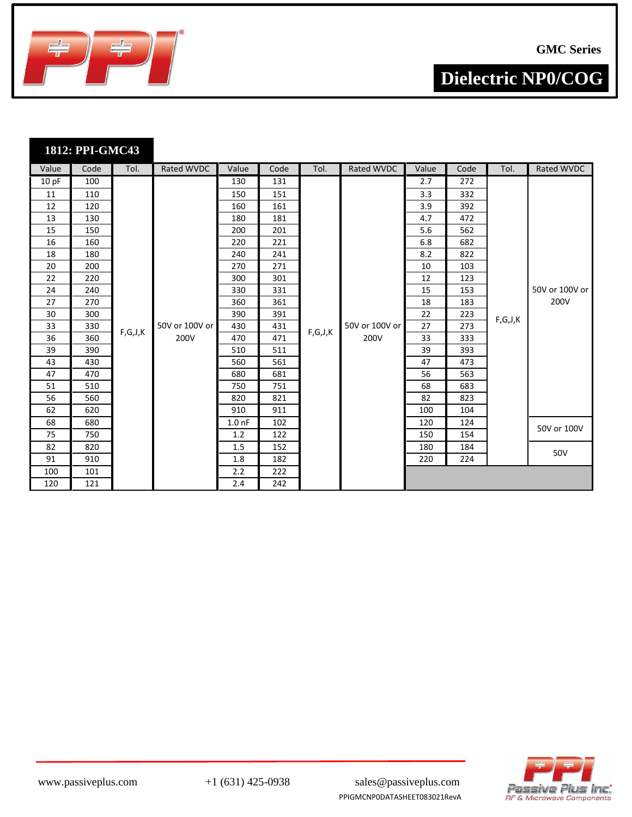

**1812: PPI-GMC43**

**Dielectric NP0/COG**

| Value | Code | Tol.    | Rated WVDC     | Value             | Code | Tol.    | Rated WVDC     | Value | Code | Tol.    | Rated WVDC     |
|-------|------|---------|----------------|-------------------|------|---------|----------------|-------|------|---------|----------------|
| 10 pF | 100  |         |                | 130               | 131  |         |                | 2.7   | 272  |         |                |
| 11    | 110  |         |                | 150               | 151  |         |                | 3.3   | 332  |         |                |
| 12    | 120  |         |                | 160               | 161  |         |                | 3.9   | 392  |         |                |
| 13    | 130  |         |                | 180               | 181  |         |                | 4.7   | 472  |         |                |
| 15    | 150  |         |                | 200               | 201  |         |                | 5.6   | 562  |         |                |
| 16    | 160  |         |                | 220               | 221  |         |                | 6.8   | 682  |         |                |
| 18    | 180  |         |                | 240               | 241  |         |                | 8.2   | 822  |         |                |
| 20    | 200  |         |                | 270               | 271  |         |                | 10    | 103  |         |                |
| 22    | 220  |         |                | 300               | 301  |         |                | 12    | 123  |         |                |
| 24    | 240  |         |                | 330               | 331  |         |                | 15    | 153  |         | 50V or 100V or |
| 27    | 270  |         |                | 360               | 361  |         |                | 18    | 183  |         | 200V           |
| 30    | 300  |         |                | 390               | 391  |         |                | 22    | 223  | F,G,J,K |                |
| 33    | 330  | F,G,J,K | 50V or 100V or | 430               | 431  | F,G,J,K | 50V or 100V or | 27    | 273  |         |                |
| 36    | 360  |         | 200V           | 470               | 471  |         | 200V           | 33    | 333  |         |                |
| 39    | 390  |         |                | 510               | 511  |         |                | 39    | 393  |         |                |
| 43    | 430  |         |                | 560               | 561  |         |                | 47    | 473  |         |                |
| 47    | 470  |         |                | 680               | 681  |         |                | 56    | 563  |         |                |
| 51    | 510  |         |                | 750               | 751  |         |                | 68    | 683  |         |                |
| 56    | 560  |         |                | 820               | 821  |         |                | 82    | 823  |         |                |
| 62    | 620  |         |                | 910               | 911  |         |                | 100   | 104  |         |                |
| 68    | 680  |         |                | 1.0 <sub>nf</sub> | 102  |         |                | 120   | 124  |         | 50V or 100V    |
| 75    | 750  |         |                | 1.2               | 122  |         |                | 150   | 154  |         |                |
| 82    | 820  |         |                | 1.5               | 152  |         |                | 180   | 184  |         |                |
| 91    | 910  |         |                | 1.8               | 182  |         |                | 220   | 224  |         | 50V            |
| 100   | 101  |         |                | 2.2               | 222  |         |                |       |      |         |                |
| 120   | 121  |         |                | 2.4               | 242  |         |                |       |      |         |                |



PPIGMCNP0DATASHEET083021RevA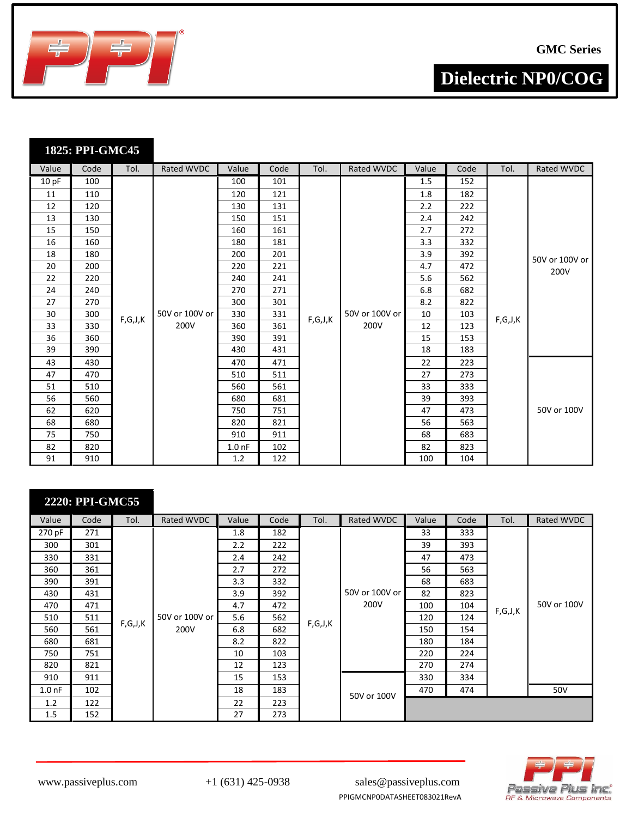

|  | 1825: PPI-GMC45 |
|--|-----------------|
|  |                 |

| Value | Code | Tol.    | Rated WVDC     | Value             | Code | Tol.    | Rated WVDC     | Value | Code | Tol.                                                | Rated WVDC     |
|-------|------|---------|----------------|-------------------|------|---------|----------------|-------|------|-----------------------------------------------------|----------------|
| 10 pF | 100  |         |                | 100               | 101  |         |                | 1.5   | 152  |                                                     |                |
| 11    | 110  |         |                | 120               | 121  |         |                | 1.8   | 182  |                                                     |                |
| 12    | 120  |         |                | 130               | 131  |         |                | 2.2   | 222  |                                                     |                |
| 13    | 130  |         |                | 150               | 151  |         |                | 2.4   | 242  |                                                     |                |
| 15    | 150  |         |                | 160               | 161  |         |                | 2.7   | 272  |                                                     |                |
| 16    | 160  |         |                | 180               | 181  |         |                | 3.3   | 332  |                                                     |                |
| 18    | 180  |         |                | 200               | 201  |         |                | 3.9   | 392  |                                                     | 50V or 100V or |
| 20    | 200  |         |                | 220               | 221  |         |                | 4.7   | 472  |                                                     | 200V           |
| 22    | 220  |         |                | 240               | 241  |         |                | 5.6   | 562  |                                                     |                |
| 24    | 240  |         |                | 270               | 271  |         |                | 6.8   | 682  |                                                     |                |
| 27    | 270  |         |                | 300               | 301  |         |                | 8.2   | 822  |                                                     |                |
| 30    | 300  | F,G,J,K | 50V or 100V or | 330               | 331  | F,G,J,K | 50V or 100V or | 10    | 103  | $\mathsf{F} , \mathsf{G} , \mathsf{J} , \mathsf{K}$ |                |
| 33    | 330  |         | 200V           | 360               | 361  |         | 200V           | 12    | 123  |                                                     |                |
| 36    | 360  |         |                | 390               | 391  |         |                | 15    | 153  |                                                     |                |
| 39    | 390  |         |                | 430               | 431  |         |                | 18    | 183  |                                                     |                |
| 43    | 430  |         |                | 470               | 471  |         |                | 22    | 223  |                                                     |                |
| 47    | 470  |         |                | 510               | 511  |         |                | 27    | 273  |                                                     |                |
| 51    | 510  |         |                | 560               | 561  |         |                | 33    | 333  |                                                     |                |
| 56    | 560  |         |                | 680               | 681  |         |                | 39    | 393  |                                                     |                |
| 62    | 620  |         |                | 750               | 751  |         |                | 47    | 473  |                                                     | 50V or 100V    |
| 68    | 680  |         |                | 820               | 821  |         |                | 56    | 563  |                                                     |                |
| 75    | 750  |         |                | 910               | 911  |         |                | 68    | 683  |                                                     |                |
| 82    | 820  |         |                | 1.0 <sub>nf</sub> | 102  |         |                | 82    | 823  |                                                     |                |
| 91    | 910  |         |                | 1.2               | 122  |         |                | 100   | 104  |                                                     |                |

|                   | 2220: PPI-GMC55 |         |                |       |      |         |                |       |      |         |             |
|-------------------|-----------------|---------|----------------|-------|------|---------|----------------|-------|------|---------|-------------|
| Value             | Code            | Tol.    | Rated WVDC     | Value | Code | Tol.    | Rated WVDC     | Value | Code | Tol.    | Rated WVDC  |
| 270 pF            | 271             |         |                | 1.8   | 182  |         |                | 33    | 333  |         |             |
| 300               | 301             |         |                | 2.2   | 222  |         |                | 39    | 393  |         |             |
| 330               | 331             |         |                | 2.4   | 242  |         |                | 47    | 473  |         |             |
| 360               | 361             |         |                | 2.7   | 272  |         |                | 56    | 563  |         |             |
| 390               | 391             |         |                | 3.3   | 332  |         |                | 68    | 683  |         |             |
| 430               | 431             |         |                | 3.9   | 392  |         | 50V or 100V or | 82    | 823  |         |             |
| 470               | 471             |         |                | 4.7   | 472  |         | 200V           | 100   | 104  | F,G,J,K | 50V or 100V |
| 510               | 511             |         | 50V or 100V or | 5.6   | 562  |         |                | 120   | 124  |         |             |
| 560               | 561             | F,G,J,K | 200V           | 6.8   | 682  | F,G,J,K |                | 150   | 154  |         |             |
| 680               | 681             |         |                | 8.2   | 822  |         |                | 180   | 184  |         |             |
| 750               | 751             |         |                | 10    | 103  |         |                | 220   | 224  |         |             |
| 820               | 821             |         |                | 12    | 123  |         |                | 270   | 274  |         |             |
| 910               | 911             |         |                | 15    | 153  |         |                | 330   | 334  |         |             |
| 1.0 <sub>nf</sub> | 102             |         |                | 18    | 183  |         | 50V or 100V    | 470   | 474  |         | 50V         |
| 1.2               | 122             |         |                | 22    | 223  |         |                |       |      |         |             |
| 1.5               | 152             |         |                | 27    | 273  |         |                |       |      |         |             |

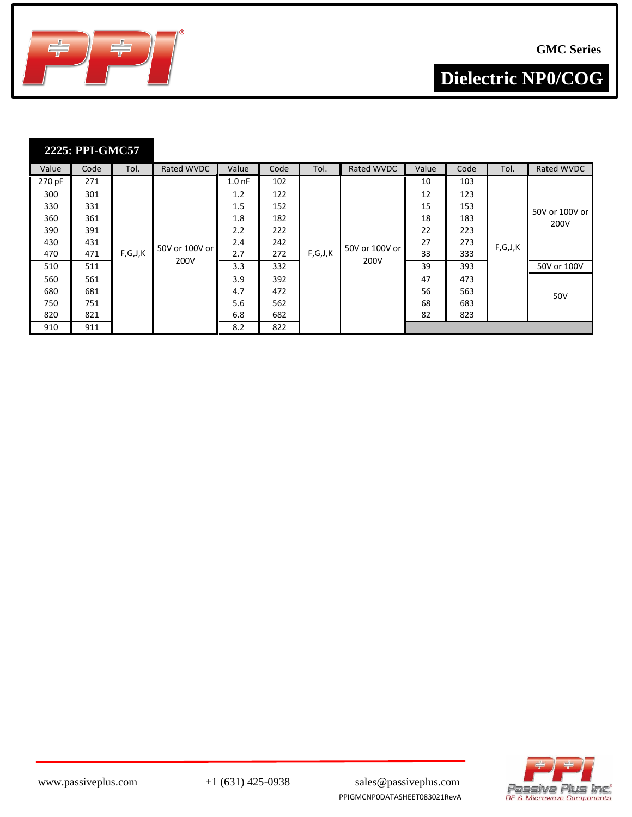

| 2225: PPI-GMC57 |  |  |
|-----------------|--|--|
|                 |  |  |
|                 |  |  |

| Value  | Code | Tol.    | Rated WVDC       | Value     | Code | Tol.    | Rated WVDC     | Value | Code | Tol.    | Rated WVDC     |
|--------|------|---------|------------------|-----------|------|---------|----------------|-------|------|---------|----------------|
| 270 pF | 271  |         |                  | $1.00$ nF | 102  |         |                | 10    | 103  |         |                |
| 300    | 301  |         |                  | 1.2       | 122  |         |                | 12    | 123  |         |                |
| 330    | 331  |         |                  | 1.5       | 152  |         |                | 15    | 153  |         | 50V or 100V or |
| 360    | 361  |         |                  | 1.8       | 182  |         |                | 18    | 183  |         | 200V           |
| 390    | 391  |         |                  | 2.2       | 222  |         |                | 22    | 223  |         |                |
| 430    | 431  |         | 50V or 100V or l | 2.4       | 242  |         | 50V or 100V or | 27    | 273  | F,G,J,K |                |
| 470    | 471  | F,G,J,K | 200V             | 2.7       | 272  | F,G,J,K | 200V           | 33    | 333  |         |                |
| 510    | 511  |         |                  | 3.3       | 332  |         |                | 39    | 393  |         | 50V or 100V    |
| 560    | 561  |         |                  | 3.9       | 392  |         |                | 47    | 473  |         |                |
| 680    | 681  |         |                  | 4.7       | 472  |         |                | 56    | 563  |         | 50V            |
| 750    | 751  |         |                  | 5.6       | 562  |         |                | 68    | 683  |         |                |
| 820    | 821  |         |                  | 6.8       | 682  |         |                | 82    | 823  |         |                |
| 910    | 911  |         |                  | 8.2       | 822  |         |                |       |      |         |                |



PPIGMCNP0DATASHEET083021RevA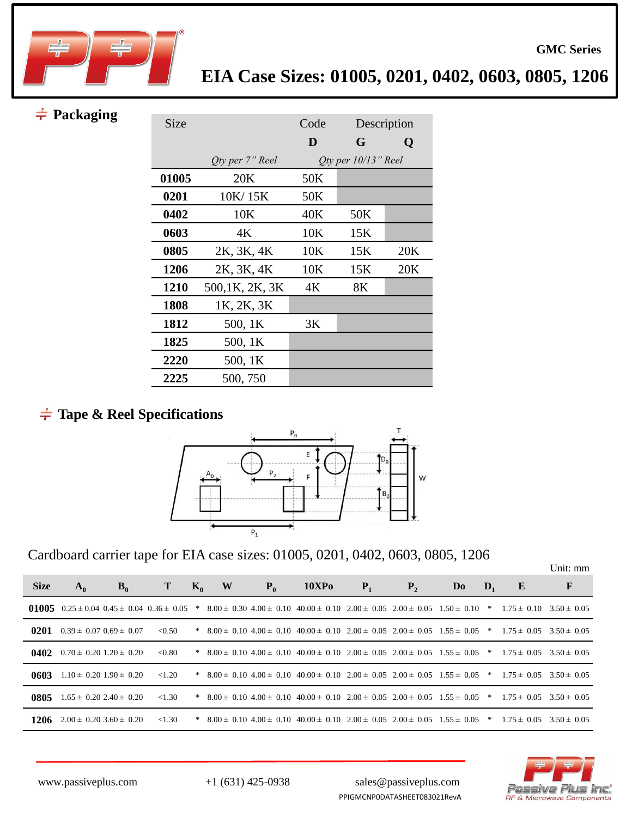

### $\div$  Packaging

| Size        |                        | Code |                           | Description |  |  |
|-------------|------------------------|------|---------------------------|-------------|--|--|
|             |                        | D    | G                         | Q           |  |  |
|             | <i>Oty per 7" Reel</i> |      | $Q$ ty per $10/13$ " Reel |             |  |  |
| 01005       | 20K                    | 50K  |                           |             |  |  |
| 0201        | 10K/15K                | 50K  |                           |             |  |  |
| 0402        | 10K                    | 40K  | 50K                       |             |  |  |
| 0603        | 4Κ                     | 10K  | 15K                       |             |  |  |
| 0805        | 2K, 3K, 4K             | 10K  | 15K                       | 20K         |  |  |
| 1206        | 2K, 3K, 4K             | 10K  | 15K                       | 20K         |  |  |
| <b>1210</b> | 500,1K, 2K, 3K         | 4К   | 8K                        |             |  |  |
| 1808        | 1K, 2K, 3K             |      |                           |             |  |  |
| 1812        | 500, 1K                | 3K   |                           |             |  |  |
| 1825        | 500, 1K                |      |                           |             |  |  |
| 2220        | 500, 1K                |      |                           |             |  |  |
| 2225        | 500, 750               |      |                           |             |  |  |

### **Tape & Reel Specifications**



Cardboard carrier tape for EIA case sizes: 01005, 0201, 0402, 0603, 0805, 1206

|             |                                                   |       |           |                |   |       |                                                                                                                                                |       |         |                |                |   | Unit: mm |
|-------------|---------------------------------------------------|-------|-----------|----------------|---|-------|------------------------------------------------------------------------------------------------------------------------------------------------|-------|---------|----------------|----------------|---|----------|
| <b>Size</b> | $A_0$                                             | $B_0$ | Т         | $\mathbf{K}_0$ | W | $P_0$ | 10XP <sub>0</sub>                                                                                                                              | $P_1$ | $P_{2}$ | D <sub>0</sub> | $\mathbf{D}_1$ | E | F        |
|             |                                                   |       |           |                |   |       | 01005 0.25 ± 0.04 0.45 ± 0.04 0.36 ± 0.05 * 8.00 ± 0.30 4.00 ± 0.10 40.00 ± 0.10 2.00 ± 0.05 2.00 ± 0.05 1.50 ± 0.10 * 1.75 ± 0.10 3.50 ± 0.05 |       |         |                |                |   |          |
|             | 0201 $0.39 \pm 0.07$ $0.69 \pm 0.07$ <0.50        |       |           |                |   |       | * $8.00 \pm 0.10$ $4.00 \pm 0.10$ $40.00 \pm 0.10$ $2.00 \pm 0.05$ $2.00 \pm 0.05$ $1.55 \pm 0.05$ * $1.75 \pm 0.05$ $3.50 \pm 0.05$           |       |         |                |                |   |          |
|             | <b>0402</b> $0.70 \pm 0.20$ 1.20 $\pm 0.20$       |       | < 0.80    |                |   |       | * $8.00 \pm 0.10$ $4.00 \pm 0.10$ $40.00 \pm 0.10$ $2.00 \pm 0.05$ $2.00 \pm 0.05$ $1.55 \pm 0.05$ * $1.75 \pm 0.05$ $3.50 \pm 0.05$           |       |         |                |                |   |          |
|             | <b>0603</b> 1.10 $\pm$ 0.20 1.90 $\pm$ 0.20 <1.20 |       |           |                |   |       | * $8.00 \pm 0.10$ $4.00 \pm 0.10$ $40.00 \pm 0.10$ $2.00 \pm 0.05$ $2.00 \pm 0.05$ $1.55 \pm 0.05$ * $1.75 \pm 0.05$ $3.50 \pm 0.05$           |       |         |                |                |   |          |
|             | <b>0805</b> $1.65 \pm 0.202.40 \pm 0.20$          |       | ${<}1.30$ |                |   |       | * $8.00 \pm 0.10$ $4.00 \pm 0.10$ $40.00 \pm 0.10$ $2.00 \pm 0.05$ $2.00 \pm 0.05$ $1.55 \pm 0.05$ * $1.75 \pm 0.05$ $3.50 \pm 0.05$           |       |         |                |                |   |          |
|             | <b>1206</b> $2.00 \pm 0.2033.60 \pm 0.20$         |       | ${<}1.30$ |                |   |       | * $8.00 \pm 0.10$ $4.00 \pm 0.10$ $40.00 \pm 0.10$ $2.00 \pm 0.05$ $2.00 \pm 0.05$ $1.55 \pm 0.05$ * $1.75 \pm 0.05$ $3.50 \pm 0.05$           |       |         |                |                |   |          |

PPIGMCNP0DATASHEET083021RevA



**GMC Series**